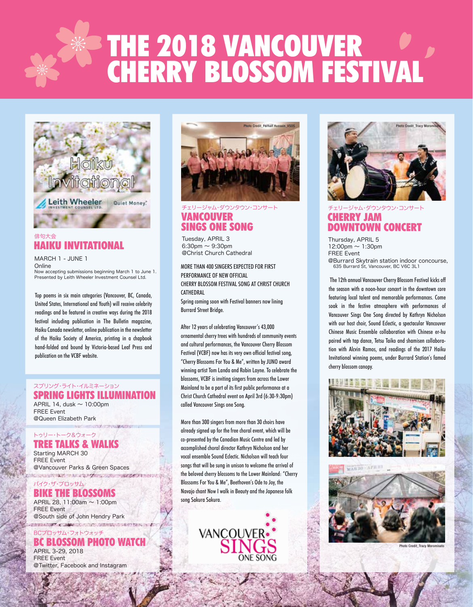# THE 2018 VANCOUVER CHERRY BLOSSOM FESTIVAL



## HAIKU INVITATIONAL 俳句大会

MARCH 1 - JUNE 1 Online Now accepting submissions beginning March 1 to June 1. Presented by Leith Wheeler Investment Counsel Ltd.

Top poems in six main categories (Vancouver, BC, Canada, United States, International and Youth) will receive celebrity readings and be featured in creative ways during the 2018 festival including publication in The Bulletin magazine, Haiku Canada newsletter, online publication in the newsletter of the Haiku Society of America, printing in a chapbook hand-folded and bound by Victoria-based Leaf Press and publication on the VCBF website.

#### SPRING LIGHTS ILLUMINATION スプリング・ライト・イルミネーション

APRIL 14, dusk  $\sim$  10:00pm FREE Event @Queen Elizabeth Park

#### TREE TALKS & WALKS トゥリー・トーク&ウォーク

Starting MARCH 30 FREE Event @Vancouver Parks & Green Spaces **NEW WAY OF A STATE OF STREET PROPERTY** 

バイク・ザ・ブロッサム

#### BIKE THE BLOSSOMS

APRIL 28, 11:00am ~ 1:00pm FREE Event @South side of John Hendry Park **SALTONY ACCORDINATION CONTINUES.** 

#### BC BLOSSOM PHOTO WATCH アッサム・フォトウォッチ

APRIL 3-29, 2018 FREE Event @Twitter, Facebook and Instagram



## VANCOUVER SINGS ONE SONG チェリージャム・ダウンタウン・コンサート

Tuesday, APRIL 3 6:30pm  $\sim$  9:30pm @Christ Church Cathedral

MORE THAN 400 SINGERS EXPECTED FOR FIRST PERFORMANCE OF NEW OFFICIAL CHERRY BLOSSOM FESTIVAL SONG AT CHRIST CHURCH **CATHEDRAL** 

Spring coming soon with Festival banners now lining Burrard Street Bridge.

After 12 years of celebrating Vancouver's 43,000 ornamental cherry trees with hundreds of community events and cultural performances, the Vancouver Cherry Blossom Festival (VCBF) now has its very own official festival song, "Cherry Blossoms For You & Me", written by JUNO award winning artist Tom Landa and Robin Layne. To celebrate the blossoms, VCBF is inviting singers from across the Lower Mainland to be a part of its first public performance at a Christ Church Cathedral event on April 3rd (6:30-9:30pm) called Vancouver Sings one Song.

More than 300 singers from more than 30 choirs have already signed up for the free choral event, which will be co-presented by the Canadian Music Centre and led by accomplished choral director Kathryn Nicholson and her vocal ensemble Sound Eclectic. Nicholson will teach four songs that will be sung in unison to welcome the arrival of the beloved cherry blossoms to the Lower Mainland: "Cherry Blossoms For You & Me", Beethoven's Ode to Joy, the Navajo chant Now I walk in Beauty and the Japanese folk song Sakura Sakura.





## CHERRY JAM DOWNTOWN CONCERT チェリージャム・ダウンタウン・コンサート

Thursday, APRIL 5  $12:00$ pm  $\sim 1:30$ pm FREE Event @Burrard Skytrain station indoor concourse, 635 Burrard St, Vancouver, BC V6C 3L1

 The 12th annual Vancouver Cherry Blossom Festival kicks off the season with a noon-hour concert in the downtown core featuring local talent and memorable performances. Come soak in the festive atmosphere with performances of Vancouver Sings One Song directed by Kathryn Nicholson with our host choir, Sound Eclectic, a spectacular Vancouver Chinese Music Ensemble collaboration with Chinese er-hu paired with tap dance, Tetsu Taiko and shamisen collaboration with Alcvin Ramos, and readings of the 2017 Haiku Invitational winning poems, under Burrard Station's famed cherry blossom canopy.





Photo Credit\_Tracy M